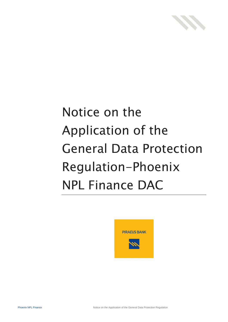

# Notice on the Application of the General Data Protection Regulation-Phoenix NPL Finance DAC

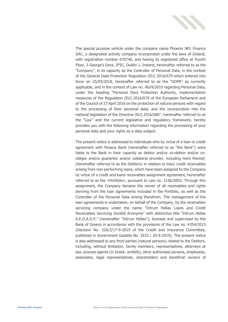

The special purpose vehicle under the company name Phoenix NPL Finance DAC, a designated activity company incorporated under the laws of Ireland, with registration number 670746, and having its registered office at Fourth Floor, 3 George's Dock, IFSC, Dublin 1, Ireland, hereinafter referred to as the "Company", in its capacity as the Controller of Personal Data, in the context of the General Data Protection Regulation (EU) 2016/679 which entered into force on 25/05/2018, hereinafter referred to as the "GDPR" as currently applicable, and in the context of Law no. 4624/2019 regarding Personal Data, under the heading "Personal Dara Protection Authority, implementation measures of the Regulation (EU) 2016/679 of the European Parliament and of the Council of 27 April 2016 on the protection of natural persons with regard to the processing of their personal data, and the incorporation into the national legislation of the Directive (EU) 2016/680", hereinafter referred to as the "Law" and the current legislative and regulatory framework, hereby provides you with the following information regarding the processing of your personal data and your rights as a data subject.

The present notice is addressed to individuals who by virtue of a loan or credit agreement with Piraeus Bank (hereinafter referred to as "the Bank") were liable to the Bank in their capacity as debtor and/or co-debtor and/or coobligor and/or guarantor and/or collateral provider, including heirs thereof, (hereinafter referred to as the Debtors) in relation to loan/ credit receivables arising from non-performing loans, which have been assigned to the Company by virtue of a credit and loans receivables assignment agreement, hereinafter referred to as the «Portfolio», pursuant to Law no. 3156/2003. Through this assignment, the Company became the owner of all receivables and rights deriving from the loan agreements included in the Portfolio, as well as the Controller of the Personal Data arising therefrom. The management of the loan agreements is undertaken, on behalf of the Company, by the receivables servicing company under the name "Intrum Hellas Loans and Credit Receivables Servicing Société Anonyme" with distinctive title "Intrum Hellas A.E.D.A.D.P." (hereinafter "Intrum Hellas"), licensed and supervised by the Bank of Greece in accordance with the provisions of the Law no. 4354/2015 (Decision No. 326/2/17-9-2019 of the Credit and Insurance Committee, published in Government Gazette No. 3533 / 20-9-2019). The present notice is also addressed to any third parties (natural persons) related to the Debtors, including, without limitation, family members, representatives, attorneys at law, process agents (in Greek: antikliti), other authorised persons, employees, associates, legal representatives, shareholders and beneficial owners of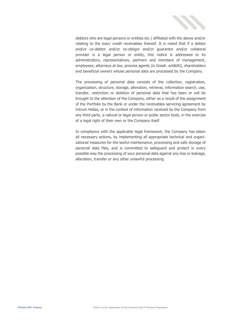

debtors who are legal persons or entities etc.) affiliated with the above and/or relating to the loan/ credit receivables thereof. It is noted that if a debtor and/or co-debtor and/or co-obligor and/or guarantor and/or collateral provider is a legal person or entity, this notice is addressed to its administrators, representatives, partners and members of management, employees, attorneys at law, process agents (in Greek: antikliti), shareholders and beneficial owners whose personal data are processed by the Company.

The processing of personal data consists of the collection, registration, organization, structure, storage, alteration, retrieval, information search, use, transfer, restriction or deletion of personal data that has been or will be brought to the attention of the Company, either as a result of the assignment of the Portfolio by the Bank or under the receivables servicing agreement by Intrum Hellas, or in the context of information received by the Company from any third party, a natural or legal person or public sector body, in the exercise of a legal right of their own or the Company itself.

In compliance with the applicable legal framework, the Company has taken all necessary actions, by implementing all appropriate technical and organizational measures for the lawful maintenance, processing and safe storage of personal data files, and is committed to safeguard and protect in every possible way the processing of your personal data against any loss or leakage, alteration, transfer or any other unlawful processing.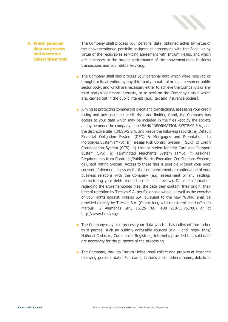

#### **A. Which personal data we process and where we collect them from**

The Company shall process your personal data, obtained either by virtue of the abovementioned portfolio assignment agreement with the Bank, or by virtue of the receivables servicing agreement with Intrum Hellas, and which are necessary to the proper performance of the abovementioned business transactions and your debts servicing.

- The Company shall also process your personal data which were received or brought to its attention by any third party, a natural or legal person or public sector body, and which are necessary either to achieve the Company's or any third party's legitimate interests, or to perform the Company's tasks which are, carried out in the public interest (e.g., tax and insurance bodies).
- Aiming at protecting commercial credit and transactions, assessing your credit rating and any assumed credit risks and limiting fraud, the Company has access to your data which may be included in the files kept by the societe anonyme under the company name BANK INFORMATION SYSTEMS S.A., and the distinctive title TIRESIAS S.A. and keeps the following records: a) Default Financial Obligation System (DFO) & Mortgages and Prenotations to Mortgages System (MPS); b) Tiresias Risk Control System (TSEK); c) Credit Consolidation System (CCS); d) Lost or stolen Identity Card and Passport System (IPS); e) Terminated Merchants System (TMS); f) Assigned Requirements from Contracts/Public Works Execution Certifications System; g) Credit Rating System. Access to these files is possible without your prior consent, if deemed necessary for the commencement or continuation of your business relations with the Company (e.g. assessment of any settling/ restructuring your debts request, credit limit review). Detailed information regarding the aforementioned files, the data they contain, their origin, their time of retention by Tiresias S.A. per file or as a whole, as well as the exercise of your rights against Tiresias S.A. pursuant to the new "GDPR" shall be provided directly by Tiresias S.A. (Controller), with registered head office in Marousi, 2 Alamanas Str., 15125 (tel. +30 210-36.76.700) or at [http://www.tiresias.gr.](http://www.tiresias.gr/)
- The Company may also process your data which it has collected from other third parties, such as publicly accessible sources (e.g., Land Regis- tries/ National Cadastre, Commercial Registries, Internet), provided that said data are necessary for the purposes of the processing.
- The Company, through Intrum Hellas, shall collect and process at least the following personal data: Full name, father's and mother's name, details of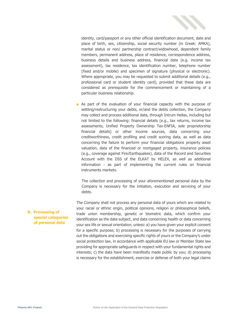

identity, card/passport or any other official identification document, date and place of birth, sex, citizenship, social security number (in Greek: AMKA), marital status or non/ partnership contract/widowhood, dependent family members, permanent address, place of residence, correspondence address, business details and business address, financial data (e.g. income tax assessment), tax residence, tax identification number, telephone number (fixed and/or mobile) and specimen of signature (physical or electronic). Where appropriate, you may be requested to submit additional details (e.g., professional card or student identity card), provided that these data are considered as prerequisite for the commencement or maintaining of a particular business relationship.

■ As part of the evaluation of your financial capacity with the purpose of settling/restructuring your debts, or/and the debts collection, the Company may collect and process additional data, through Intrum Hellas, including but not limited to the following: financial details (e.g., tax returns, income tax assessments, Unified Property Ownership Tax-ENFIA, sole proprietorship financial details) or other income sources, data concerning your creditworthiness, credit profiling and credit scoring data, as well as data concerning the failure to perform your financial obligations property asset valuation, data of the financed or mortgaged property, insurance policies (e.g., coverage against Fire/Earthquakes), data of the Record and Securities Account with the DSS of the ELKAT by HELEX, as well as additional information - as part of implementing the current rules on financial instruments markets.

The collection and processing of your aforementioned personal data by the Company is necessary for the initiation, execution and servicing of your debts.

The Company shall not process any personal data of yours which are related to your racial or ethnic origin, political opinions, religion or philosophical beliefs, trade union membership, genetic or biometric data, which confirm your identification as the data subject, and data concerning health or data concerning your sex life or sexual orientation, unless: a) you have given your explicit consent for a specific purpose; b) processing is necessary for the purposes of carrying out the obligations and exercising specific rights of yours or the Company's under social protection law, in accordance with applicable EU law or Member State law providing for appropriate safeguards in respect with your fundamental rights and interests; c) the data have been manifestly made public by you; d) processing is necessary for the establishment, exercise or defense of both your legal claims

### **B. Processing of special categories of personal data**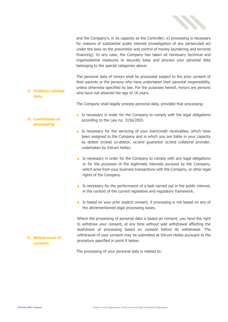

and the Company's, in its capacity as the Controller; e) processing is necessary for reasons of substantial public interest (investigation of any persecuted act under the laws on the prevention and control of money laundering and terrorist financing). In any case, the Company has taken all necessary technical and organizational measures to securely keep and process your personal data belonging to the special categories above.

The personal data of minors shall be processed subject to the prior consent of their parents or the persons who have undertaken their parental responsibility, unless otherwise specified by law. For the purposes hereof, minors are persons who have not attained the age of 18 years.

**C. Children related data**

The Company shall legally process personal data, provided that processing:

- Is necessary in order for the Company to comply with the legal obligations according to the Law no. 3156/2003.
- Is necessary for the servicing of your loan/credit receivables, which have been assigned to the Company and in which you are liable in your capacity as debtor or/and co-debtor, or/and guarantor or/and collateral provider, undertaken by Intrum Hellas.
- Is necessary in order for the Company to comply with any legal obligations or for the purposes of the legitimate interests pursued by the Company, which arise from your business transactions with the Company, or other legal rights of the Company.
- Is necessary for the performance of a task carried out in the public interest, in the context of the current legislative and regulatory framework.
- Is based on your prior explicit consent, if processing is not based on any of the aforementioned legal processing bases.

Where the processing of personal data is based on consent, you have the right to withdraw your consent, at any time without said withdrawal affecting the lawfulness of processing based on consent before its withdrawal. The withdrawal of your consent may be submitted at Intrum Hellas pursuant to the procedure specified in point K below.

The processing of your personal data is related to:

**D. Lawfulness of** 

# **processing**

**E. Withdrawal of consent**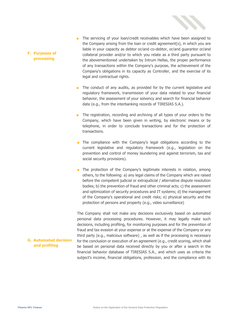

## ■ The servicing of your loan/credit receivables which have been assigned to the Company arising from the loan or credit agreement(s), in which you are liable in your capacity as debtor or/and co-debtor, or/and guarantor or/and collateral provider and/or to which you relate as a third party pursuant to the abovementioned undertaken by Intrum Hellas, the proper performance of any transactions within the Company's purpose, the achievement of the Company's obligations in its capacity as Controller, and the exercise of its legal and contractual rights.

- The conduct of any audits, as provided for by the current legislative and regulatory framework, transmission of your data related to your financial behavior, the assessment of your solvency and search for financial behavior data (e.g., from the interbanking records of TIRESIAS S.A.).
- The registration, recording and archiving of all types of your orders to the Company, which have been given in writing, by electronic means or by telephone, in order to conclude transactions and for the protection of transactions.
- The compliance with the Company's legal obligations according to the current legislative and regulatory framework (e.g., legislation on the prevention and control of money laundering and against terrorism, tax and social security provisions).
- The protection of the Company's legitimate interests in relation, among others, to the following: a) any legal claims of the Company which are raised before the competent judicial or extrajudicial / alternative dispute resolution bodies; b) the prevention of fraud and other criminal acts; c) the assessment and optimization of security procedures and IT systems; d) the management of the Company's operational and credit risks; e) physical security and the protection of persons and property (e.g., video surveillance)

The Company shall not make any decisions exclusively based on automated personal data processing procedures. However, it may legally make such decisions, including profiling, for monitoring purposes and for the prevention of fraud and tax evasion at your expense or at the expense of the Company or any third party (e.g., malicious software) , as well as if the processing is necessary for the conclusion or execution of an agreement (e.g., credit scoring, which shall be based on personal data received directly by you or after a search in the financial behavior database of TIRESIAS S.A., and which uses as criteria the subject's income, financial obligations, profession, and the compliance with its

#### **F. Purposes of processing**

## **G. Automated decision and profiling**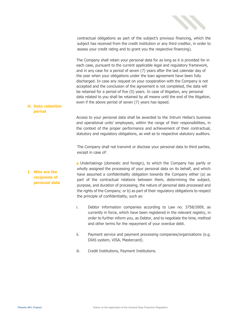

contractual obligations as part of the subject's previous financing, which the subject has received from the credit institution or any third creditor, in order to assess your credit rating and to grant you the respective financing).

The Company shall retain your personal data for as long as it is provided for in each case, pursuant to the current applicable legal and regulatory framework, and in any case for a period of seven (7) years after the last calendar day of the year when your obligations under the loan agreement have been fully discharged. In case any request on your cooperation with the Company is not accepted and the conclusion of the agreement is not completed, the data will be retained for a period of five (5) years. In case of litigation, any personal data related to you shall be retained by all means until the end of the litigation, even if the above period of seven (7) years has lapsed.

#### **H. Data retention period**

Access to your personal data shall be awarded to the Intrum Hellas's business and operational units' employees, within the range of their responsibilities, in the context of the proper performance and achievement of their contractual, statutory and regulatory obligations, as well as to respective statutory auditors.

The Company shall not transmit or disclose your personal data to third parties, except in case of:

**I. Who are the recipients of personal data** ■ Undertakings (domestic and foreign), to which the Company has partly or wholly assigned the processing of your personal data on its behalf, and which have assumed a confidentiality obligation towards the Company either (a) as part of the contractual relations between them, determining the subject, purpose, and duration of processing, the nature of personal data processed and the rights of the Company; or b) as part of their regulatory obligations to respect the principle of confidentiality, such as:

- i. Debtor information companies according to Law no. 3758/2009, as currently in force, which have been registered in the relevant registry, in order to further inform you, as Debtor, and to negotiate the time, method and other terms for the repayment of your overdue debt.
- ii. Payment service and payment processing companies/organizations (e.g. DIAS system, VISA, Mastercard).
- iii. Credit Institutions, Payment Institutions.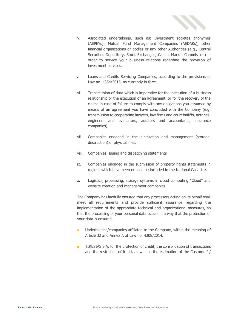

- iv. Associated undertakings, such as: Investment societes anonymes (AEPEYs), Mutual Fund Management Companies (AEDAKs), other financial organizations or bodies or any other Authorities (e.g., Central Securities Depository, Stock Exchanges, Capital Market Commission) in order to service your business relations regarding the provision of investment services.
- v. Loans and Credits Servicing Companies, according to the provisions of Law no. 4354/2015, as currently in force.
- vi. Transmission of data which is imperative for the institution of a business relationship or the execution of an agreement, or for the recovery of the claims in case of failure to comply with any obligations you assumed by means of an agreement you have concluded with the Company (e.g. transmission to cooperating lawyers, law firms and court bailiffs, notaries, engineers and evaluators, auditors and accountants, insurance companies).
- vii. Companies engaged in the digitization and management (storage, destruction) of physical files.
- viii. Companies issuing and dispatching statements
- ix. Companies engaged in the submission of property rights statements in regions which have been or shall be included in the National Cadastre.
- x. Logistics, processing, storage systems in cloud computing "Cloud" and website creation and management companies.

The Company has lawfully ensured that any processors acting on its behalf shall meet all requirements and provide sufficient assurance regarding the implementation of the appropriate technical and organizational measures, so that the processing of your personal data occurs in a way that the protection of your data is ensured.

- Undertakings/companies affiliated to the Company, within the meaning of Article 32 and Annex A of Law no. 4308/2014.
- TIRESIAS S.A. for the protection of credit, the consolidation of transactions and the restriction of fraud, as well as the estimation of the Customer's/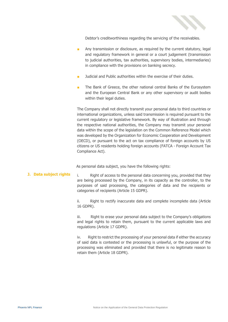

Debtor's creditworthiness regarding the servicing of the receivables.

- Any transmission or disclosure, as required by the current statutory, legal and regulatory framework in general or a court judgement (transmission to judicial authorities, tax authorities, supervisory bodies, intermediaries) in compliance with the provisions on banking secrecy.
- Judicial and Public authorities within the exercise of their duties.
- The Bank of Greece, the other national central Banks of the Eurosystem and the European Central Bank or any other supervisory or audit bodies within their legal duties.

The Company shall not directly transmit your personal data to third countries or international organizations, unless said transmission is required pursuant to the current regulatory or legislative framework. By way of illustration and through the respective national authorities, the Company may transmit your personal data within the scope of the legislation on the Common Reference Model which was developed by the Organization for Economic Cooperation and Development (OECD), or pursuant to the act on tax compliance of foreign accounts by US citizens or US residents holding foreign accounts (FATCA - Foreign Account Tax Compliance Act).

As personal data subject, you have the following rights:

**J. Data subject rights** i. Right of access to the personal data concerning you, provided that they are being processed by the Company, in its capacity as the controller, to the purposes of said processing, the categories of data and the recipients or categories of recipients (Article 15 GDPR).

> ii. Right to rectify inaccurate data and complete incomplete data (Article 16 GDPR).

> iii. Right to erase your personal data subject to the Company's obligations and legal rights to retain them, pursuant to the current applicable laws and regulations (Article 17 GDPR).

> iv. Right to restrict the processing of your personal data if either the accuracy of said data is contested or the processing is unlawful, or the purpose of the processing was eliminated and provided that there is no legitimate reason to retain them (Article 18 GDPR).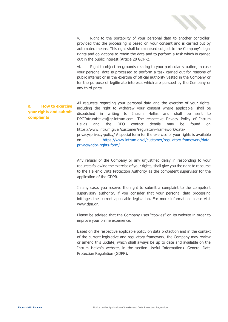

v. Right to the portability of your personal data to another controller, provided that the processing is based on your consent and is carried out by automated means. This right shall be exercised subject to the Company's legal rights and obligations to retain the data and to perform a task which is carried out in the public interest (Article 20 GDPR).

vi. Right to object on grounds relating to your particular situation, in case your personal data is processed to perform a task carried out for reasons of public interest or in the exercise of official authority vested in the Company or for the purpose of legitimate interests which are pursued by the Company or any third party.

**K. How to exercise your rights and submit complaints** All requests regarding your personal data and the exercise of your rights, including the right to withdraw your consent where applicable, shall be dispatched in writing to Intrum Hellas and shall be sent to DPOIntrumHellas@gr.intrum.com. The respective Privacy Policy of Intrum Hellas and the DPO contact details may be found on https://www.intrum.gr/el/customer/regulatory-framework/dataprivacy/privacy-policy/ A special form for the exercise of your rights is available on [https://www.intrum.gr/el/customer/regulatory-framework/data](https://www.intrum.gr/el/customer/regulatory-framework/data-privacy/gdpr-rights-form/)[privacy/gdpr-rights-form/](https://www.intrum.gr/el/customer/regulatory-framework/data-privacy/gdpr-rights-form/)

> Any refusal of the Company or any unjustified delay in responding to your requests following the exercise of your rights, shall give you the right to recourse to the Hellenic Data Protection Authority as the competent supervisor for the application of the GDPR.

> In any case, you reserve the right to submit a complaint to the competent supervisory authority, if you consider that your personal data processing infringes the current applicable legislation. For more information please visit [www.dpa.gr.](http://www.dpa.gr/)

> Please be advised that the Company uses "cookies" on its website in order to improve your online experience.

> Based on the respective applicable policy on data protection and in the context of the current legislative and regulatory framework, the Company may review or amend this update, which shall always be up to date and available on the Intrum Hellas's website, in the section Useful Information> General Data Protection Regulation (GDPR).